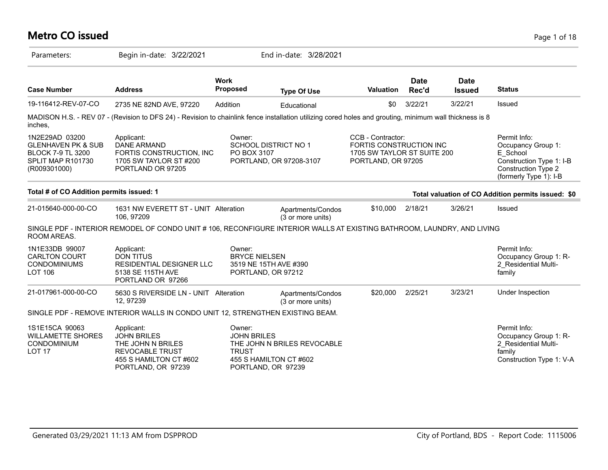| <b>Metro CO issued</b>                                                                                           |                                                                                                                                                         |                                                      |                                                                             |                                                                                                   |                      |                              | Page 1 of 18                                                                                                                |
|------------------------------------------------------------------------------------------------------------------|---------------------------------------------------------------------------------------------------------------------------------------------------------|------------------------------------------------------|-----------------------------------------------------------------------------|---------------------------------------------------------------------------------------------------|----------------------|------------------------------|-----------------------------------------------------------------------------------------------------------------------------|
| Parameters:                                                                                                      | Begin in-date: 3/22/2021                                                                                                                                |                                                      | End in-date: 3/28/2021                                                      |                                                                                                   |                      |                              |                                                                                                                             |
| <b>Case Number</b>                                                                                               | <b>Address</b>                                                                                                                                          | <b>Work</b><br><b>Proposed</b>                       | <b>Type Of Use</b>                                                          | <b>Valuation</b>                                                                                  | <b>Date</b><br>Rec'd | <b>Date</b><br><b>Issued</b> | <b>Status</b>                                                                                                               |
| 19-116412-REV-07-CO                                                                                              | 2735 NE 82ND AVE, 97220                                                                                                                                 | Addition                                             | Educational                                                                 | \$0                                                                                               | 3/22/21              | 3/22/21                      | Issued                                                                                                                      |
| inches,                                                                                                          | MADISON H.S. - REV 07 - (Revision to DFS 24) - Revision to chainlink fence installation utilizing cored holes and grouting, minimum wall thickness is 8 |                                                      |                                                                             |                                                                                                   |                      |                              |                                                                                                                             |
| 1N2E29AD 03200<br><b>GLENHAVEN PK &amp; SUB</b><br><b>BLOCK 7-9 TL 3200</b><br>SPLIT MAP R101730<br>(R009301000) | Applicant:<br><b>DANE ARMAND</b><br>FORTIS CONSTRUCTION, INC<br>1705 SW TAYLOR ST #200<br>PORTLAND OR 97205                                             | Owner:<br>PO BOX 3107                                | <b>SCHOOL DISTRICT NO 1</b><br>PORTLAND, OR 97208-3107                      | CCB - Contractor:<br>FORTIS CONSTRUCTION INC<br>1705 SW TAYLOR ST SUITE 200<br>PORTLAND, OR 97205 |                      |                              | Permit Info:<br>Occupancy Group 1:<br>E School<br>Construction Type 1: I-B<br>Construction Type 2<br>(formerly Type 1): I-B |
| Total # of CO Addition permits issued: 1                                                                         |                                                                                                                                                         |                                                      |                                                                             |                                                                                                   |                      |                              | Total valuation of CO Addition permits issued: \$0                                                                          |
| 21-015640-000-00-CO                                                                                              | 1631 NW EVERETT ST - UNIT Alteration<br>106, 97209                                                                                                      |                                                      | Apartments/Condos<br>(3 or more units)                                      | \$10,000                                                                                          | 2/18/21              | 3/26/21                      | Issued                                                                                                                      |
| ROOM AREAS.                                                                                                      | SINGLE PDF - INTERIOR REMODEL OF CONDO UNIT # 106, RECONFIGURE INTERIOR WALLS AT EXISTING BATHROOM, LAUNDRY, AND LIVING                                 |                                                      |                                                                             |                                                                                                   |                      |                              |                                                                                                                             |
| 1N1E33DB 99007<br><b>CARLTON COURT</b><br><b>CONDOMINIUMS</b><br><b>LOT 106</b>                                  | Applicant:<br><b>DON TITUS</b><br>RESIDENTIAL DESIGNER LLC<br>5138 SE 115TH AVE<br>PORTLAND OR 97266                                                    | Owner:<br><b>BRYCE NIELSEN</b><br>PORTLAND, OR 97212 | 3519 NE 15TH AVE #390                                                       |                                                                                                   |                      |                              | Permit Info:<br>Occupancy Group 1: R-<br>2 Residential Multi-<br>family                                                     |
| 21-017961-000-00-CO                                                                                              | 5630 S RIVERSIDE LN - UNIT Alteration<br>12, 97239                                                                                                      |                                                      | Apartments/Condos<br>(3 or more units)                                      | \$20,000                                                                                          | 2/25/21              | 3/23/21                      | Under Inspection                                                                                                            |
|                                                                                                                  | SINGLE PDF - REMOVE INTERIOR WALLS IN CONDO UNIT 12, STRENGTHEN EXISTING BEAM.                                                                          |                                                      |                                                                             |                                                                                                   |                      |                              |                                                                                                                             |
| 1S1E15CA 90063<br><b>WILLAMETTE SHORES</b><br>CONDOMINIUM<br>LOT <sub>17</sub>                                   | Applicant:<br><b>JOHN BRILES</b><br>THE JOHN N BRILES<br><b>REVOCABLE TRUST</b><br>455 S HAMILTON CT #602<br>PORTLAND, OR 97239                         | Owner:<br><b>JOHN BRILES</b><br><b>TRUST</b>         | THE JOHN N BRILES REVOCABLE<br>455 S HAMILTON CT #602<br>PORTLAND, OR 97239 |                                                                                                   |                      |                              | Permit Info:<br>Occupancy Group 1: R-<br>2 Residential Multi-<br>family<br>Construction Type 1: V-A                         |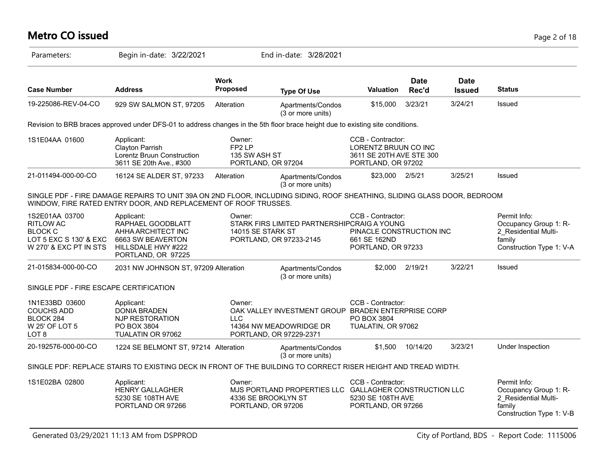# **Metro CO issued** Page 2 of 18

| Parameters:                                                                                              | Begin in-date: 3/22/2021                                                                                                                                                                    |                                  | End in-date: 3/28/2021                                                                                   |                                                                                             |                      |                              |                                                                                                     |
|----------------------------------------------------------------------------------------------------------|---------------------------------------------------------------------------------------------------------------------------------------------------------------------------------------------|----------------------------------|----------------------------------------------------------------------------------------------------------|---------------------------------------------------------------------------------------------|----------------------|------------------------------|-----------------------------------------------------------------------------------------------------|
| <b>Case Number</b>                                                                                       | <b>Address</b>                                                                                                                                                                              | Work<br><b>Proposed</b>          | <b>Type Of Use</b>                                                                                       | <b>Valuation</b>                                                                            | <b>Date</b><br>Rec'd | <b>Date</b><br><b>Issued</b> | <b>Status</b>                                                                                       |
| 19-225086-REV-04-CO                                                                                      | 929 SW SALMON ST, 97205                                                                                                                                                                     | Alteration                       | Apartments/Condos<br>(3 or more units)                                                                   | \$15,000                                                                                    | 3/23/21              | 3/24/21                      | Issued                                                                                              |
|                                                                                                          | Revision to BRB braces approved under DFS-01 to address changes in the 5th floor brace height due to existing site conditions.                                                              |                                  |                                                                                                          |                                                                                             |                      |                              |                                                                                                     |
| 1S1E04AA 01600                                                                                           | Applicant:<br>Clayton Parrish<br>Lorentz Bruun Construction<br>3611 SE 20th Ave., #300                                                                                                      | Owner:<br>FP2LP<br>135 SW ASH ST | PORTLAND, OR 97204                                                                                       | CCB - Contractor:<br>LORENTZ BRUUN CO INC<br>3611 SE 20TH AVE STE 300<br>PORTLAND, OR 97202 |                      |                              |                                                                                                     |
| 21-011494-000-00-CO                                                                                      | 16124 SE ALDER ST, 97233                                                                                                                                                                    | Alteration                       | Apartments/Condos<br>(3 or more units)                                                                   | \$23,000                                                                                    | 2/5/21               | 3/25/21                      | Issued                                                                                              |
|                                                                                                          | SINGLE PDF - FIRE DAMAGE REPAIRS TO UNIT 39A ON 2ND FLOOR, INCLUDING SIDING, ROOF SHEATHING, SLIDING GLASS DOOR, BEDROOM<br>WINDOW, FIRE RATED ENTRY DOOR, AND REPLACEMENT OF ROOF TRUSSES. |                                  |                                                                                                          |                                                                                             |                      |                              |                                                                                                     |
| 1S2E01AA 03700<br><b>RITLOW AC</b><br><b>BLOCK C</b><br>LOT 5 EXC S 130' & EXC<br>W 270' & EXC PT IN STS | Applicant:<br>RAPHAEL GOODBLATT<br>AHHA ARCHITECT INC<br>6663 SW BEAVERTON<br>HILLSDALE HWY #222<br>PORTLAND, OR 97225                                                                      | Owner:<br>14015 SE STARK ST      | STARK FIRS LIMITED PARTNERSHIPCRAIG A YOUNG<br>PORTLAND, OR 97233-2145                                   | CCB - Contractor:<br>PINACLE CONSTRUCTION INC<br>661 SE 162ND<br>PORTLAND, OR 97233         |                      |                              | Permit Info:<br>Occupancy Group 1: R-<br>2 Residential Multi-<br>family<br>Construction Type 1: V-A |
| 21-015834-000-00-CO                                                                                      | 2031 NW JOHNSON ST, 97209 Alteration                                                                                                                                                        |                                  | Apartments/Condos<br>(3 or more units)                                                                   | \$2,000                                                                                     | 2/19/21              | 3/22/21                      | Issued                                                                                              |
| SINGLE PDF - FIRE ESCAPE CERTIFICATION                                                                   |                                                                                                                                                                                             |                                  |                                                                                                          |                                                                                             |                      |                              |                                                                                                     |
| 1N1E33BD 03600<br><b>COUCHS ADD</b><br>BLOCK 284<br>W 25' OF LOT 5<br>LOT <sub>8</sub>                   | Applicant:<br><b>DONIA BRADEN</b><br>NJP RESTORATION<br>PO BOX 3804<br>TUALATIN OR 97062                                                                                                    | Owner:<br><b>LLC</b>             | OAK VALLEY INVESTMENT GROUP BRADEN ENTERPRISE CORP<br>14364 NW MEADOWRIDGE DR<br>PORTLAND, OR 97229-2371 | CCB - Contractor:<br>PO BOX 3804<br>TUALATIN, OR 97062                                      |                      |                              |                                                                                                     |
| 20-192576-000-00-CO                                                                                      | 1224 SE BELMONT ST, 97214 Alteration                                                                                                                                                        |                                  | Apartments/Condos<br>(3 or more units)                                                                   | \$1,500                                                                                     | 10/14/20             | 3/23/21                      | Under Inspection                                                                                    |
|                                                                                                          | SINGLE PDF: REPLACE STAIRS TO EXISTING DECK IN FRONT OF THE BUILDING TO CORRECT RISER HEIGHT AND TREAD WIDTH.                                                                               |                                  |                                                                                                          |                                                                                             |                      |                              |                                                                                                     |
| 1S1E02BA 02800                                                                                           | Applicant:<br><b>HENRY GALLAGHER</b><br>5230 SE 108TH AVE<br>PORTLAND OR 97266                                                                                                              | Owner:                           | MJS PORTLAND PROPERTIES LLC GALLAGHER CONSTRUCTION LLC<br>4336 SE BROOKLYN ST<br>PORTLAND, OR 97206      | CCB - Contractor:<br>5230 SE 108TH AVE<br>PORTLAND, OR 97266                                |                      |                              | Permit Info:<br>Occupancy Group 1: R-<br>2_Residential Multi-<br>family<br>Construction Type 1: V-B |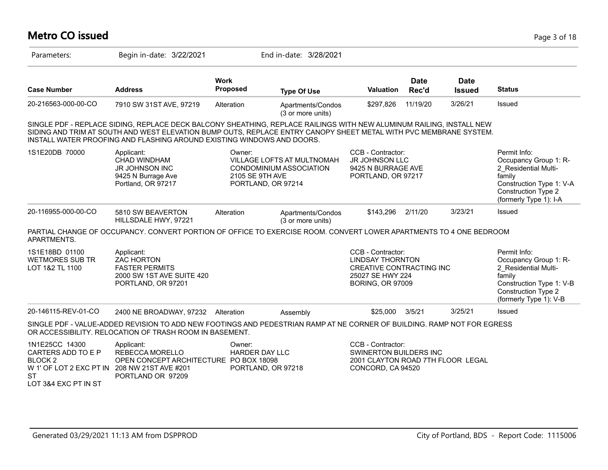# **Metro CO issued** Page 3 of 18

| Parameters:                                                                                                                                     | Begin in-date: 3/22/2021                                                                                                                                                                                                                                                                                            |                           | End in-date: 3/28/2021                                                      |                                                                                                                         |                      |                              |                                                                                                                                                      |
|-------------------------------------------------------------------------------------------------------------------------------------------------|---------------------------------------------------------------------------------------------------------------------------------------------------------------------------------------------------------------------------------------------------------------------------------------------------------------------|---------------------------|-----------------------------------------------------------------------------|-------------------------------------------------------------------------------------------------------------------------|----------------------|------------------------------|------------------------------------------------------------------------------------------------------------------------------------------------------|
| <b>Case Number</b>                                                                                                                              | <b>Address</b>                                                                                                                                                                                                                                                                                                      | <b>Work</b><br>Proposed   | <b>Type Of Use</b>                                                          | <b>Valuation</b>                                                                                                        | <b>Date</b><br>Rec'd | <b>Date</b><br><b>Issued</b> | <b>Status</b>                                                                                                                                        |
| 20-216563-000-00-CO                                                                                                                             | 7910 SW 31ST AVE, 97219                                                                                                                                                                                                                                                                                             | Alteration                | Apartments/Condos<br>(3 or more units)                                      | \$297,826                                                                                                               | 11/19/20             | 3/26/21                      | Issued                                                                                                                                               |
|                                                                                                                                                 | SINGLE PDF - REPLACE SIDING, REPLACE DECK BALCONY SHEATHING, REPLACE RAILINGS WITH NEW ALUMINUM RAILING, INSTALL NEW<br>SIDING AND TRIM AT SOUTH AND WEST ELEVATION BUMP OUTS, REPLACE ENTRY CANOPY SHEET METAL WITH PVC MEMBRANE SYSTEM.<br>INSTALL WATER PROOFING AND FLASHING AROUND EXISTING WINDOWS AND DOORS. |                           |                                                                             |                                                                                                                         |                      |                              |                                                                                                                                                      |
| 1S1E20DB 70000                                                                                                                                  | Applicant:<br><b>CHAD WINDHAM</b><br><b>JR JOHNSON INC</b><br>9425 N Burrage Ave<br>Portland, OR 97217                                                                                                                                                                                                              | Owner:<br>2105 SE 9TH AVE | VILLAGE LOFTS AT MULTNOMAH<br>CONDOMINIUM ASSOCIATION<br>PORTLAND, OR 97214 | CCB - Contractor:<br><b>JR JOHNSON LLC</b><br>9425 N BURRAGE AVE<br>PORTLAND, OR 97217                                  |                      |                              | Permit Info:<br>Occupancy Group 1: R-<br>2_Residential Multi-<br>family<br>Construction Type 1: V-A<br>Construction Type 2<br>(formerly Type 1): I-A |
| 20-116955-000-00-CO                                                                                                                             | 5810 SW BEAVERTON<br>HILLSDALE HWY, 97221                                                                                                                                                                                                                                                                           | Alteration                | Apartments/Condos<br>(3 or more units)                                      | \$143,296                                                                                                               | 2/11/20              | 3/23/21                      | Issued                                                                                                                                               |
| APARTMENTS.                                                                                                                                     | PARTIAL CHANGE OF OCCUPANCY. CONVERT PORTION OF OFFICE TO EXERCISE ROOM. CONVERT LOWER APARTMENTS TO 4 ONE BEDROOM                                                                                                                                                                                                  |                           |                                                                             |                                                                                                                         |                      |                              |                                                                                                                                                      |
| 1S1E18BD 01100<br><b>WETMORES SUB TR</b><br>LOT 1&2 TL 1100                                                                                     | Applicant:<br><b>ZAC HORTON</b><br><b>FASTER PERMITS</b><br>2000 SW 1ST AVE SUITE 420<br>PORTLAND, OR 97201                                                                                                                                                                                                         |                           |                                                                             | CCB - Contractor:<br><b>LINDSAY THORNTON</b><br>CREATIVE CONTRACTING INC<br>25027 SE HWY 224<br><b>BORING, OR 97009</b> |                      |                              | Permit Info:<br>Occupancy Group 1: R-<br>2 Residential Multi-<br>family<br>Construction Type 1: V-B<br>Construction Type 2<br>(formerly Type 1): V-B |
| 20-146115-REV-01-CO                                                                                                                             | 2400 NE BROADWAY, 97232                                                                                                                                                                                                                                                                                             | Alteration                | Assembly                                                                    | \$25,000                                                                                                                | 3/5/21               | 3/25/21                      | <b>Issued</b>                                                                                                                                        |
|                                                                                                                                                 | SINGLE PDF - VALUE-ADDED REVISION TO ADD NEW FOOTINGS AND PEDESTRIAN RAMP AT NE CORNER OF BUILDING. RAMP NOT FOR EGRESS<br>OR ACCESSIBILITY. RELOCATION OF TRASH ROOM IN BASEMENT.                                                                                                                                  |                           |                                                                             |                                                                                                                         |                      |                              |                                                                                                                                                      |
| 1N1E25CC 14300<br>CARTERS ADD TO E P<br>BLOCK <sub>2</sub><br>W 1' OF LOT 2 EXC PT IN 208 NW 21ST AVE #201<br><b>ST</b><br>LOT 3&4 EXC PT IN ST | Applicant:<br>REBECCA MORELLO<br>OPEN CONCEPT ARCHITECTURE PO BOX 18098<br>PORTLAND OR 97209                                                                                                                                                                                                                        | Owner:<br>HARDER DAY LLC  | PORTLAND, OR 97218                                                          | CCB - Contractor:<br>SWINERTON BUILDERS INC<br>2001 CLAYTON ROAD 7TH FLOOR LEGAL<br>CONCORD, CA 94520                   |                      |                              |                                                                                                                                                      |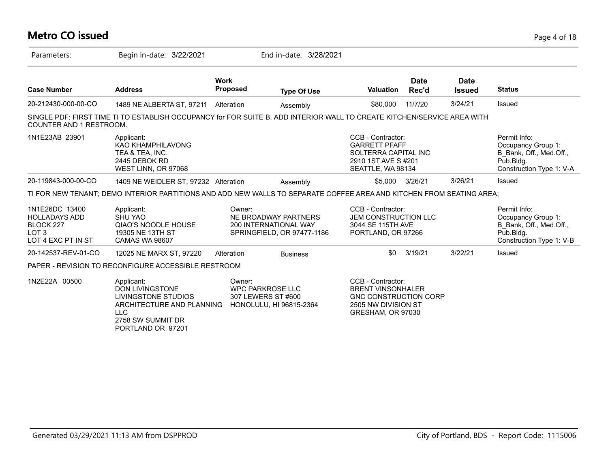### **Metro CO issued** Page 4 of 18

| Parameters:                                                                                   | Begin in-date: 3/22/2021                                                                                                                            |                                                         | End in-date: 3/28/2021                                                             |                                                                                                                           |                      |                              |                                                                                                        |
|-----------------------------------------------------------------------------------------------|-----------------------------------------------------------------------------------------------------------------------------------------------------|---------------------------------------------------------|------------------------------------------------------------------------------------|---------------------------------------------------------------------------------------------------------------------------|----------------------|------------------------------|--------------------------------------------------------------------------------------------------------|
| <b>Case Number</b>                                                                            | <b>Address</b>                                                                                                                                      | <b>Work</b><br><b>Proposed</b>                          | <b>Type Of Use</b>                                                                 | <b>Valuation</b>                                                                                                          | <b>Date</b><br>Rec'd | <b>Date</b><br><b>Issued</b> | <b>Status</b>                                                                                          |
| 20-212430-000-00-CO                                                                           | 1489 NE ALBERTA ST, 97211                                                                                                                           | Alteration                                              | Assembly                                                                           | \$80,000                                                                                                                  | 11/7/20              | 3/24/21                      | Issued                                                                                                 |
| COUNTER AND 1 RESTROOM.                                                                       | SINGLE PDF: FIRST TIME TI TO ESTABLISH OCCUPANCY for FOR SUITE B. ADD INTERIOR WALL TO CREATE KITCHEN/SERVICE AREA WITH                             |                                                         |                                                                                    |                                                                                                                           |                      |                              |                                                                                                        |
| 1N1E23AB 23901                                                                                | Applicant:<br><b>KAO KHAMPHILAVONG</b><br>TEA & TEA. INC.<br>2445 DEBOK RD<br>WEST LINN, OR 97068                                                   |                                                         |                                                                                    | CCB - Contractor:<br><b>GARRETT PFAFF</b><br>SOLTERRA CAPITAL INC<br>2910 1ST AVE S#201<br>SEATTLE, WA 98134              |                      |                              | Permit Info:<br>Occupancy Group 1:<br>B Bank, Off., Med.Off.,<br>Pub.Bldg.<br>Construction Type 1: V-A |
| 20-119843-000-00-CO                                                                           | 1409 NE WEIDLER ST, 97232 Alteration                                                                                                                |                                                         | Assembly                                                                           | \$5.000                                                                                                                   | 3/26/21              | 3/26/21                      | Issued                                                                                                 |
|                                                                                               | TI FOR NEW TENANT; DEMO INTERIOR PARTITIONS AND ADD NEW WALLS TO SEPARATE COFFEE AREA AND KITCHEN FROM SEATING AREA;                                |                                                         |                                                                                    |                                                                                                                           |                      |                              |                                                                                                        |
| 1N1E26DC 13400<br><b>HOLLADAYS ADD</b><br>BLOCK 227<br>LOT <sub>3</sub><br>LOT 4 EXC PT IN ST | Applicant:<br><b>SHU YAO</b><br><b>QIAO'S NOODLE HOUSE</b><br>19305 NE 13TH ST<br><b>CAMAS WA 98607</b>                                             | Owner:                                                  | NE BROADWAY PARTNERS<br><b>200 INTERNATIONAL WAY</b><br>SPRINGFIELD, OR 97477-1186 | CCB - Contractor:<br><b>JEM CONSTRUCTION LLC</b><br>3044 SE 115TH AVE<br>PORTLAND, OR 97266                               |                      |                              | Permit Info:<br>Occupancy Group 1:<br>B Bank, Off., Med.Off.,<br>Pub.Bldg.<br>Construction Type 1: V-B |
| 20-142537-REV-01-CO                                                                           | 12025 NE MARX ST, 97220                                                                                                                             | Alteration                                              | <b>Business</b>                                                                    | \$0                                                                                                                       | 3/19/21              | 3/22/21                      | Issued                                                                                                 |
|                                                                                               | PAPER - REVISION TO RECONFIGURE ACCESSIBLE RESTROOM                                                                                                 |                                                         |                                                                                    |                                                                                                                           |                      |                              |                                                                                                        |
| 1N2E22A 00500                                                                                 | Applicant:<br><b>DON LIVINGSTONE</b><br>LIVINGSTONE STUDIOS<br>ARCHITECTURE AND PLANNING<br><b>LLC</b><br>$2750$ $0.11$ $0.11$ $0.11$ $1.11$ $0.07$ | Owner:<br><b>WPC PARKROSE LLC</b><br>307 LEWERS ST #600 | HONOLULU, HI 96815-2364                                                            | CCB - Contractor:<br><b>BRENT VINSONHALER</b><br><b>GNC CONSTRUCTION CORP</b><br>2505 NW DIVISION ST<br>GRESHAM, OR 97030 |                      |                              |                                                                                                        |

2758 SW SUMMIT DR PORTLAND OR 97201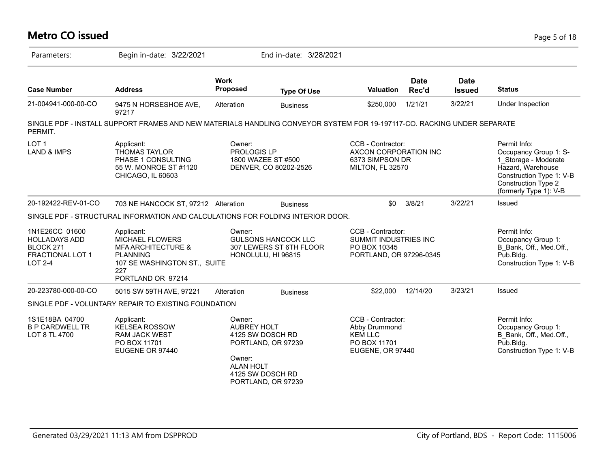#### **Metro CO issued** Page 5 of 18 Parameters: Begin in-date: 3/22/2021 End in-date: 3/28/2021 **Work Case Number Address Proposed Type Of Use Valuation Status Date Rec'd Date Issued** 21-004941-000-00-CO 9475 N HORSESHOE AVE, 97217 Alteration Business \$250,000 1/21/21 3/22/21 Under Inspection SINGLE PDF - INSTALL SUPPORT FRAMES AND NEW MATERIALS HANDLING CONVEYOR SYSTEM FOR 19-197117-CO. RACKING UNDER SEPARATE PERMIT. LOT 1 LAND & IMPS Permit Info: Occupancy Group 1: S-1\_Storage - Moderate Hazard, Warehouse Construction Type 1: V-B Construction Type 2 (formerly Type 1): V-B CCB - Contractor: AXCON CORPORATION INC 6373 SIMPSON DR MILTON, FL 32570 Owner: PROLOGIS LP 1800 WAZEE ST #500 DENVER, CO 80202-2526 Applicant: THOMAS TAYLOR PHASE 1 CONSULTING 55 W. MONROE ST #1120 CHICAGO, IL 60603 20-192422-REV-01-CO 703 NE HANCOCK ST, 97212 Alteration Business \$0 3/8/21 3/22/21 Issued SINGLE PDF - STRUCTURAL INFORMATION AND CALCULATIONS FOR FOLDING INTERIOR DOOR. 1N1E26CC 01600 HOLLADAYS ADD BLOCK 271 FRACTIONAL LOT 1 LOT 2-4 Permit Info: Occupancy Group 1: B\_Bank, Off., Med.Off., Pub.Bldg. Construction Type 1: V-B CCB - Contractor: SUMMIT INDUSTRIES INC PO BOX 10345 PORTLAND, OR 97296-0345 Owner: GULSONS HANCOCK LLC 307 LEWERS ST 6TH FLOOR HONOLULU, HI 96815 Applicant: MICHAEL FLOWERS MFA ARCHITECTURE & PLANNING 107 SE WASHINGTON ST., SUITE 227 PORTLAND OR 97214 20-223780-000-00-CO 5015 SW 59TH AVE, 97221 Alteration Business \$22,000 12/14/20 3/23/21 Issued SINGLE PDF - VOLUNTARY REPAIR TO EXISTING FOUNDATION 1S1E18BA 04700 B P CARDWELL TR LOT 8 TL 4700 Permit Info: Occupancy Group 1: B\_Bank, Off., Med.Off., Pub.Bldg. Construction Type 1: V-B CCB - Contractor: Abby Drummond KEM LLC PO BOX 11701 EUGENE, OR 97440 Owner: AUBREY HOLT 4125 SW DOSCH RD PORTLAND, OR 97239 Owner: ALAN HOLT 4125 SW DOSCH RD PORTLAND, OR 97239 Applicant: KELSEA ROSSOW RAM JACK WEST PO BOX 11701 EUGENE OR 97440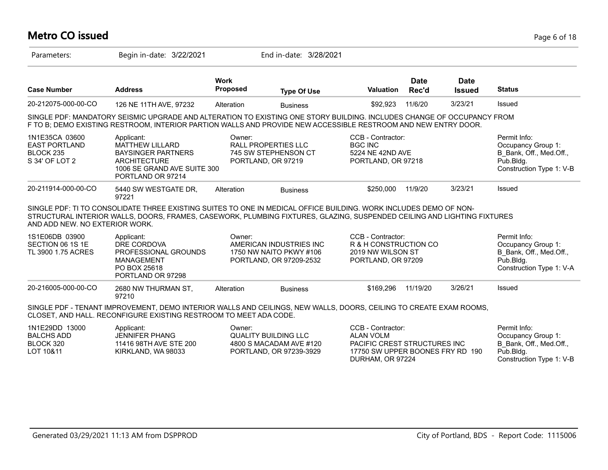## **Metro CO issued** Page 6 of 18

| Parameters:                                                           | Begin in-date: 3/22/2021                                                                                                                                                                                                                     |                                | End in-date: 3/28/2021                                                            |                                                                                                           |                      |                              |                                                                                                        |
|-----------------------------------------------------------------------|----------------------------------------------------------------------------------------------------------------------------------------------------------------------------------------------------------------------------------------------|--------------------------------|-----------------------------------------------------------------------------------|-----------------------------------------------------------------------------------------------------------|----------------------|------------------------------|--------------------------------------------------------------------------------------------------------|
| <b>Case Number</b>                                                    | <b>Address</b>                                                                                                                                                                                                                               | <b>Work</b><br><b>Proposed</b> | <b>Type Of Use</b>                                                                | <b>Valuation</b>                                                                                          | <b>Date</b><br>Rec'd | <b>Date</b><br><b>Issued</b> | <b>Status</b>                                                                                          |
| 20-212075-000-00-CO                                                   | 126 NE 11TH AVE, 97232                                                                                                                                                                                                                       | Alteration                     | <b>Business</b>                                                                   | \$92,923                                                                                                  | 11/6/20              | 3/23/21                      | Issued                                                                                                 |
|                                                                       | SINGLE PDF: MANDATORY SEISMIC UPGRADE AND ALTERATION TO EXISTING ONE STORY BUILDING. INCLUDES CHANGE OF OCCUPANCY FROM<br>F TO B; DEMO EXISTING RESTROOM, INTERIOR PARTION WALLS AND PROVIDE NEW ACCESSIBLE RESTROOM AND NEW ENTRY DOOR.     |                                |                                                                                   |                                                                                                           |                      |                              |                                                                                                        |
| 1N1E35CA 03600<br><b>EAST PORTLAND</b><br>BLOCK 235<br>S 34' OF LOT 2 | Applicant:<br><b>MATTHEW LILLARD</b><br><b>BAYSINGER PARTNERS</b><br><b>ARCHITECTURE</b><br>1006 SE GRAND AVE SUITE 300<br>PORTLAND OR 97214                                                                                                 | Owner:                         | <b>RALL PROPERTIES LLC</b><br>745 SW STEPHENSON CT<br>PORTLAND, OR 97219          | CCB - Contractor:<br><b>BGC INC</b><br>5224 NE 42ND AVE<br>PORTLAND, OR 97218                             |                      |                              | Permit Info:<br>Occupancy Group 1:<br>B_Bank, Off., Med.Off.,<br>Pub.Bldg.<br>Construction Type 1: V-B |
| 20-211914-000-00-CO                                                   | 5440 SW WESTGATE DR,<br>97221                                                                                                                                                                                                                | Alteration                     | <b>Business</b>                                                                   | \$250,000                                                                                                 | 11/9/20              | 3/23/21                      | Issued                                                                                                 |
| AND ADD NEW. NO EXTERIOR WORK.                                        | SINGLE PDF: TI TO CONSOLIDATE THREE EXISTING SUITES TO ONE IN MEDICAL OFFICE BUILDING. WORK INCLUDES DEMO OF NON-<br>STRUCTURAL INTERIOR WALLS, DOORS, FRAMES, CASEWORK, PLUMBING FIXTURES, GLAZING, SUSPENDED CEILING AND LIGHTING FIXTURES |                                |                                                                                   |                                                                                                           |                      |                              |                                                                                                        |
| 1S1E06DB 03900<br>SECTION 06 1S 1E<br>TL 3900 1.75 ACRES              | Applicant:<br>DRE CORDOVA<br>PROFESSIONAL GROUNDS<br><b>MANAGEMENT</b><br>PO BOX 25618<br>PORTLAND OR 97298                                                                                                                                  | Owner:                         | AMERICAN INDUSTRIES INC<br>1750 NW NAITO PKWY #106<br>PORTLAND, OR 97209-2532     | CCB - Contractor:<br>R & H CONSTRUCTION CO<br>2019 NW WILSON ST<br>PORTLAND, OR 97209                     |                      |                              | Permit Info:<br>Occupancy Group 1:<br>B Bank, Off., Med.Off.,<br>Pub.Bldg.<br>Construction Type 1: V-A |
| 20-216005-000-00-CO                                                   | 2680 NW THURMAN ST,<br>97210                                                                                                                                                                                                                 | Alteration                     | <b>Business</b>                                                                   | \$169,296                                                                                                 | 11/19/20             | 3/26/21                      | Issued                                                                                                 |
|                                                                       | SINGLE PDF - TENANT IMPROVEMENT, DEMO INTERIOR WALLS AND CEILINGS, NEW WALLS, DOORS, CEILING TO CREATE EXAM ROOMS,<br>CLOSET, AND HALL. RECONFIGURE EXISTING RESTROOM TO MEET ADA CODE.                                                      |                                |                                                                                   |                                                                                                           |                      |                              |                                                                                                        |
| 1N1E29DD 13000<br><b>BALCHS ADD</b><br>BLOCK 320<br>LOT 10&11         | Applicant:<br><b>JENNIFER PHANG</b><br>11416 98TH AVE STE 200<br>KIRKLAND, WA 98033                                                                                                                                                          | Owner:                         | <b>QUALITY BUILDING LLC</b><br>4800 S MACADAM AVE #120<br>PORTLAND, OR 97239-3929 | CCB - Contractor:<br><b>ALAN VOLM</b><br>PACIFIC CREST STRUCTURES INC<br>17750 SW UPPER BOONES FRY RD 190 |                      |                              | Permit Info:<br>Occupancy Group 1:<br>B Bank, Off., Med.Off.,<br>Pub.Blda.                             |

DURHAM, OR 97224

Construction Type 1: V-B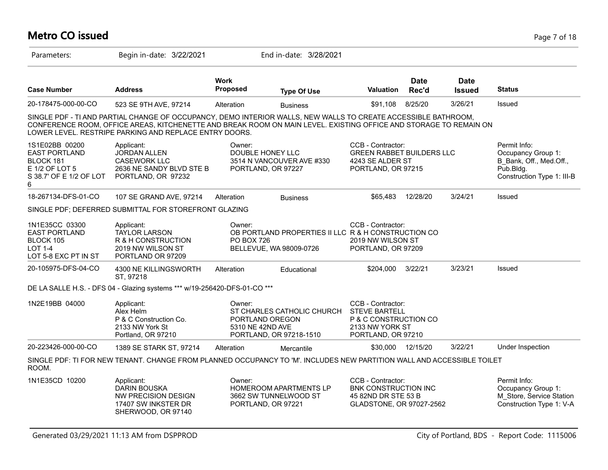### **Metro CO issued** Page 7 of 18

| Parameters:                                                                                           | Begin in-date: 3/22/2021                                                                                                                                                                                                                                                                      |                                                  | End in-date: 3/28/2021                                                         |                                                                                                             |                      |                              |                                                                                                             |
|-------------------------------------------------------------------------------------------------------|-----------------------------------------------------------------------------------------------------------------------------------------------------------------------------------------------------------------------------------------------------------------------------------------------|--------------------------------------------------|--------------------------------------------------------------------------------|-------------------------------------------------------------------------------------------------------------|----------------------|------------------------------|-------------------------------------------------------------------------------------------------------------|
| <b>Case Number</b>                                                                                    | <b>Address</b>                                                                                                                                                                                                                                                                                | <b>Work</b><br>Proposed                          | <b>Type Of Use</b>                                                             | Valuation                                                                                                   | <b>Date</b><br>Rec'd | <b>Date</b><br><b>Issued</b> | <b>Status</b>                                                                                               |
| 20-178475-000-00-CO                                                                                   | 523 SE 9TH AVE, 97214                                                                                                                                                                                                                                                                         | Alteration                                       | <b>Business</b>                                                                | \$91,108                                                                                                    | 8/25/20              | 3/26/21                      | Issued                                                                                                      |
|                                                                                                       | SINGLE PDF - TI AND PARTIAL CHANGE OF OCCUPANCY, DEMO INTERIOR WALLS, NEW WALLS TO CREATE ACCESSIBLE BATHROOM,<br>CONFERENCE ROOM, OFFICE AREAS, KITCHENETTE AND BREAK ROOM ON MAIN LEVEL. EXISTING OFFICE AND STORAGE TO REMAIN ON<br>LOWER LEVEL. RESTRIPE PARKING AND REPLACE ENTRY DOORS. |                                                  |                                                                                |                                                                                                             |                      |                              |                                                                                                             |
| 1S1E02BB 00200<br><b>EAST PORTLAND</b><br>BLOCK 181<br>E 1/2 OF LOT 5<br>S 38.7' OF E 1/2 OF LOT<br>6 | Applicant:<br><b>JORDAN ALLEN</b><br><b>CASEWORK LLC</b><br>2636 NE SANDY BLVD STE B<br>PORTLAND, OR 97232                                                                                                                                                                                    | Owner:<br>DOUBLE HONEY LLC<br>PORTLAND, OR 97227 | 3514 N VANCOUVER AVE #330                                                      | CCB - Contractor:<br><b>GREEN RABBET BUILDERS LLC</b><br>4243 SE ALDER ST<br>PORTLAND, OR 97215             |                      |                              | Permit Info:<br>Occupancy Group 1:<br>B Bank, Off., Med.Off.,<br>$P$ ub.Bldg.<br>Construction Type 1: III-B |
| 18-267134-DFS-01-CO                                                                                   | 107 SE GRAND AVE, 97214                                                                                                                                                                                                                                                                       | Alteration                                       | <b>Business</b>                                                                | \$65,483                                                                                                    | 12/28/20             | 3/24/21                      | Issued                                                                                                      |
|                                                                                                       | SINGLE PDF; DEFERRED SUBMITTAL FOR STOREFRONT GLAZING                                                                                                                                                                                                                                         |                                                  |                                                                                |                                                                                                             |                      |                              |                                                                                                             |
| 1N1E35CC 03300<br><b>EAST PORTLAND</b><br>BLOCK 105<br><b>LOT 1-4</b><br>LOT 5-8 EXC PT IN ST         | Applicant:<br><b>TAYLOR LARSON</b><br>R & H CONSTRUCTION<br>2019 NW WILSON ST<br>PORTLAND OR 97209                                                                                                                                                                                            | Owner:<br><b>PO BOX 726</b>                      | OB PORTLAND PROPERTIES II LLC R & H CONSTRUCTION CO<br>BELLEVUE, WA 98009-0726 | CCB - Contractor:<br>2019 NW WILSON ST<br>PORTLAND, OR 97209                                                |                      |                              |                                                                                                             |
| 20-105975-DFS-04-CO                                                                                   | 4300 NE KILLINGSWORTH<br>ST, 97218                                                                                                                                                                                                                                                            | Alteration                                       | Educational                                                                    | \$204,000                                                                                                   | 3/22/21              | 3/23/21                      | <b>Issued</b>                                                                                               |
|                                                                                                       | DE LA SALLE H.S. - DFS 04 - Glazing systems *** w/19-256420-DFS-01-CO ***                                                                                                                                                                                                                     |                                                  |                                                                                |                                                                                                             |                      |                              |                                                                                                             |
| 1N2E19BB 04000                                                                                        | Applicant:<br>Alex Helm<br>P & C Construction Co.<br>2133 NW York St<br>Portland, OR 97210                                                                                                                                                                                                    | Owner:<br>PORTLAND OREGON<br>5310 NE 42ND AVE    | ST CHARLES CATHOLIC CHURCH<br>PORTLAND, OR 97218-1510                          | CCB - Contractor:<br><b>STEVE BARTELL</b><br>P & C CONSTRUCTION CO<br>2133 NW YORK ST<br>PORTLAND, OR 97210 |                      |                              |                                                                                                             |
| 20-223426-000-00-CO                                                                                   | 1389 SE STARK ST, 97214                                                                                                                                                                                                                                                                       | Alteration                                       | Mercantile                                                                     | \$30,000                                                                                                    | 12/15/20             | 3/22/21                      | Under Inspection                                                                                            |
| ROOM.                                                                                                 | SINGLE PDF: TI FOR NEW TENANT. CHANGE FROM PLANNED OCCUPANCY TO 'M'. INCLUDES NEW PARTITION WALL AND ACCESSIBLE TOILET                                                                                                                                                                        |                                                  |                                                                                |                                                                                                             |                      |                              |                                                                                                             |
| 1N1E35CD 10200                                                                                        | Applicant:<br><b>DARIN BOUSKA</b><br>NW PRECISION DESIGN<br>17407 SW INKSTER DR<br>SHERWOOD, OR 97140                                                                                                                                                                                         | Owner:<br>PORTLAND, OR 97221                     | <b>HOMEROOM APARTMENTS LP</b><br>3662 SW TUNNELWOOD ST                         | CCB - Contractor:<br>BNK CONSTRUCTION INC<br>45 82ND DR STE 53 B<br>GLADSTONE, OR 97027-2562                |                      |                              | Permit Info:<br>Occupancy Group 1:<br>M Store, Service Station<br>Construction Type 1: V-A                  |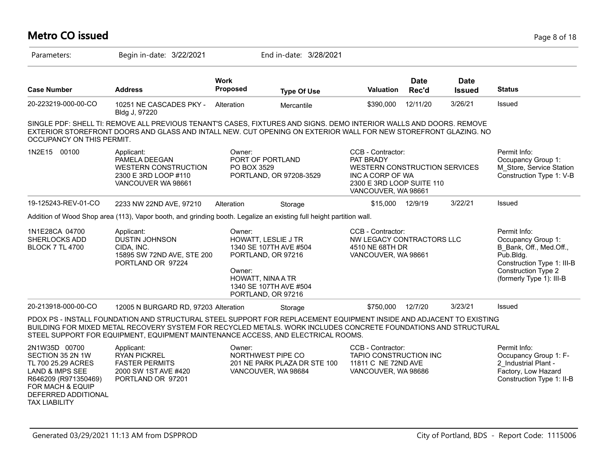#### **Metro CO issued** Page 8 of 18 Parameters: Begin in-date: 3/22/2021 End in-date: 3/28/2021 **Work Case Number Address Proposed Type Of Use Valuation Status Date Rec'd Date Issued** 20-223219-000-00-CO 10251 NE CASCADES PKY - Bldg J, 97220 Alteration Mercantile \$390,000 12/11/20 3/26/21 Issued SINGLE PDF: SHELL TI: REMOVE ALL PREVIOUS TENANT'S CASES, FIXTURES AND SIGNS. DEMO INTERIOR WALLS AND DOORS. REMOVE EXTERIOR STOREFRONT DOORS AND GLASS AND INTALL NEW. CUT OPENING ON EXTERIOR WALL FOR NEW STOREFRONT GLAZING. NO OCCUPANCY ON THIS PERMIT. 1N2E15 00100 Applicant: Applicant: CCB - Contractor: Permit Info: Occupancy Group 1: M\_Store, Service Station Construction Type 1: V-B CCB - Contractor: PAT BRADY WESTERN CONSTRUCTION SERVICES INC A CORP OF WA 2300 E 3RD LOOP SUITE 110 VANCOUVER, WA 98661 Owner: PORT OF PORTLAND PO BOX 3529 PORTLAND, OR 97208-3529 Applicant: PAMELA DEEGAN WESTERN CONSTRUCTION 2300 E 3RD LOOP #110 VANCOUVER WA 98661 19-125243-REV-01-CO 2233 NW 22ND AVE, 97210 Alteration Storage \$15,000 12/9/19 3/22/21 Issued Addition of Wood Shop area (113), Vapor booth, and grinding booth. Legalize an existing full height partition wall. 1N1E28CA 04700 SHERLOCKS ADD **BLOCK 7 TL 4700** Permit Info: Occupancy Group 1: B\_Bank, Off., Med.Off., Pub.Bldg. Construction Type 1: III-B Construction Type 2 (formerly Type 1): III-B CCB - Contractor: NW LEGACY CONTRACTORS LLC 4510 NE 68TH DR VANCOUVER, WA 98661 Owner: HOWATT, LESLIE J TR 1340 SE 107TH AVE #504 PORTLAND, OR 97216 Owner: HOWATT, NINA A TR 1340 SE 107TH AVE #504 PORTLAND, OR 97216 Applicant: DUSTIN JOHNSON CIDA, INC. 15895 SW 72ND AVE, STE 200 PORTLAND OR 97224 20-213918-000-00-CO 12005 N BURGARD RD, 97203 Alteration Storage \$750,000 12/7/20 3/23/21 Issued PDOX PS - INSTALL FOUNDATION AND STRUCTURAL STEEL SUPPORT FOR REPLACEMENT EQUIPMENT INSIDE AND ADJACENT TO EXISTING BUILDING FOR MIXED METAL RECOVERY SYSTEM FOR RECYCLED METALS. WORK INCLUDES CONCRETE FOUNDATIONS AND STRUCTURAL STEEL SUPPORT FOR EQUIPMENT, EQUIPMENT MAINTENANCE ACCESS, AND ELECTRICAL ROOMS. 2N1W35D 00700 SECTION 35 2N 1W TL 700 25.29 ACRES LAND & IMPS SEE R646209 (R971350469) FOR MACH & EQUIP DEFERRED ADDITIONAL TAX LIABILITY Permit Info: Occupancy Group 1: F-2\_Industrial Plant - Factory, Low Hazard Construction Type 1: II-B CCB - Contractor: TAPIO CONSTRUCTION INC 11811 C NE 72ND AVE VANCOUVER, WA 98686 Owner: NORTHWEST PIPE CO 201 NE PARK PLAZA DR STE 100 VANCOUVER, WA 98684 Applicant: RYAN PICKREL FASTER PERMITS 2000 SW 1ST AVE #420 PORTLAND OR 97201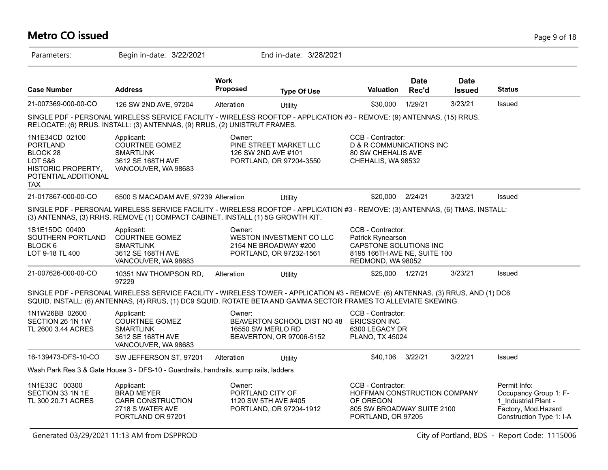# **Metro CO issued** Page 9 of 18

| Parameters:                                                                                                   | Begin in-date: 3/22/2021                                                                                                                                                                                                                            |                                | End in-date: 3/28/2021                                                       |                                                                                                                       |                      |                              |                                                                                                                  |
|---------------------------------------------------------------------------------------------------------------|-----------------------------------------------------------------------------------------------------------------------------------------------------------------------------------------------------------------------------------------------------|--------------------------------|------------------------------------------------------------------------------|-----------------------------------------------------------------------------------------------------------------------|----------------------|------------------------------|------------------------------------------------------------------------------------------------------------------|
| <b>Case Number</b>                                                                                            | <b>Address</b>                                                                                                                                                                                                                                      | <b>Work</b><br><b>Proposed</b> | <b>Type Of Use</b>                                                           | <b>Valuation</b>                                                                                                      | <b>Date</b><br>Rec'd | <b>Date</b><br><b>Issued</b> | <b>Status</b>                                                                                                    |
| 21-007369-000-00-CO                                                                                           | 126 SW 2ND AVE, 97204                                                                                                                                                                                                                               | Alteration                     | Utility                                                                      | \$30,000                                                                                                              | 1/29/21              | 3/23/21                      | Issued                                                                                                           |
|                                                                                                               | SINGLE PDF - PERSONAL WIRELESS SERVICE FACILITY - WIRELESS ROOFTOP - APPLICATION #3 - REMOVE: (9) ANTENNAS, (15) RRUS.<br>RELOCATE: (6) RRUS. INSTALL: (3) ANTENNAS, (9) RRUS, (2) UNISTRUT FRAMES.                                                 |                                |                                                                              |                                                                                                                       |                      |                              |                                                                                                                  |
| 1N1E34CD 02100<br><b>PORTLAND</b><br>BLOCK 28<br>LOT 5&6<br>HISTORIC PROPERTY,<br>POTENTIAL ADDITIONAL<br>TAX | Applicant:<br><b>COURTNEE GOMEZ</b><br><b>SMARTLINK</b><br>3612 SE 168TH AVE<br>VANCOUVER, WA 98683                                                                                                                                                 | Owner:                         | PINE STREET MARKET LLC<br>126 SW 2ND AVE #101<br>PORTLAND, OR 97204-3550     | CCB - Contractor:<br><b>D &amp; R COMMUNICATIONS INC</b><br><b>80 SW CHEHALIS AVE</b><br>CHEHALIS, WA 98532           |                      |                              |                                                                                                                  |
| 21-017867-000-00-CO                                                                                           | 6500 S MACADAM AVE, 97239 Alteration                                                                                                                                                                                                                |                                | Utility                                                                      | \$20,000 2/24/21                                                                                                      |                      | 3/23/21                      | Issued                                                                                                           |
|                                                                                                               | SINGLE PDF - PERSONAL WIRELESS SERVICE FACILITY - WIRELESS ROOFTOP - APPLICATION #3 - REMOVE: (3) ANTENNAS, (6) TMAS. INSTALL:<br>(3) ANTENNAS, (3) RRHS. REMOVE (1) COMPACT CABINET. INSTALL (1) 5G GROWTH KIT.                                    |                                |                                                                              |                                                                                                                       |                      |                              |                                                                                                                  |
| 1S1E15DC 00400<br>SOUTHERN PORTLAND<br>BLOCK 6<br>LOT 9-18 TL 400                                             | Applicant:<br><b>COURTNEE GOMEZ</b><br><b>SMARTLINK</b><br>3612 SE 168TH AVE<br>VANCOUVER, WA 98683                                                                                                                                                 | Owner:                         | WESTON INVESTMENT CO LLC<br>2154 NE BROADWAY #200<br>PORTLAND, OR 97232-1561 | CCB - Contractor:<br>Patrick Rynearson<br>CAPSTONE SOLUTIONS INC<br>8195 166TH AVE NE, SUITE 100<br>REDMOND, WA 98052 |                      |                              |                                                                                                                  |
| 21-007626-000-00-CO                                                                                           | 10351 NW THOMPSON RD,<br>97229                                                                                                                                                                                                                      | Alteration                     | Utility                                                                      | \$25,000 1/27/21                                                                                                      |                      | 3/23/21                      | Issued                                                                                                           |
|                                                                                                               | SINGLE PDF - PERSONAL WIRELESS SERVICE FACILITY - WIRELESS TOWER - APPLICATION #3 - REMOVE: (6) ANTENNAS, (3) RRUS, AND (1) DC6<br>SQUID. INSTALL: (6) ANTENNAS, (4) RRUS, (1) DC9 SQUID. ROTATE BETA AND GAMMA SECTOR FRAMES TO ALLEVIATE SKEWING. |                                |                                                                              |                                                                                                                       |                      |                              |                                                                                                                  |
| 1N1W26BB 02600<br>SECTION 26 1N 1W<br>TL 2600 3.44 ACRES                                                      | Applicant:<br>COURTNEE GOMEZ<br><b>SMARTLINK</b><br>3612 SE 168TH AVE<br>VANCOUVER, WA 98683                                                                                                                                                        | Owner:                         | BEAVERTON SCHOOL DIST NO 48<br>16550 SW MERLO RD<br>BEAVERTON, OR 97006-5152 | CCB - Contractor:<br><b>ERICSSON INC</b><br>6300 LEGACY DR<br>PLANO, TX 45024                                         |                      |                              |                                                                                                                  |
| 16-139473-DFS-10-CO                                                                                           | SW JEFFERSON ST, 97201                                                                                                                                                                                                                              | Alteration                     | Utility                                                                      | \$40,106 3/22/21                                                                                                      |                      | 3/22/21                      | Issued                                                                                                           |
|                                                                                                               | Wash Park Res 3 & Gate House 3 - DFS-10 - Guardrails, handrails, sump rails, ladders                                                                                                                                                                |                                |                                                                              |                                                                                                                       |                      |                              |                                                                                                                  |
| 1N1E33C 00300<br>SECTION 33 1N 1E<br>TL 300 20.71 ACRES                                                       | Applicant:<br><b>BRAD MEYER</b><br><b>CARR CONSTRUCTION</b><br>2718 S WATER AVE<br>PORTLAND OR 97201                                                                                                                                                | Owner:                         | PORTLAND CITY OF<br>1120 SW 5TH AVE #405<br>PORTLAND, OR 97204-1912          | CCB - Contractor:<br>HOFFMAN CONSTRUCTION COMPANY<br>OF OREGON<br>805 SW BROADWAY SUITE 2100<br>PORTLAND, OR 97205    |                      |                              | Permit Info:<br>Occupancy Group 1: F-<br>1 Industrial Plant -<br>Factory, Mod.Hazard<br>Construction Type 1: I-A |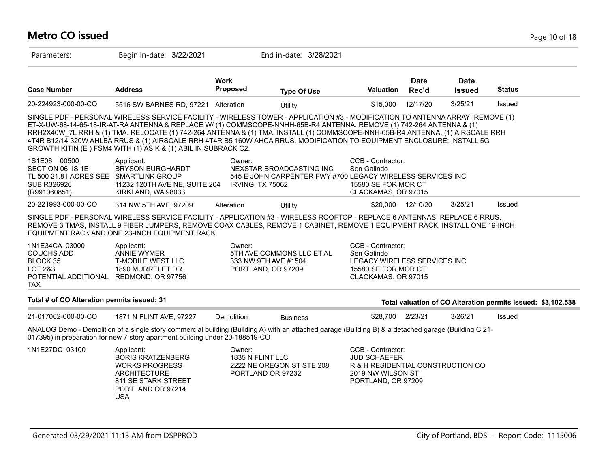## **Metro CO issued** Page 10 of 18

| Parameters:                                                                                                        | Begin in-date: 3/22/2021                                                                                                                                                                                                                                                                                                                                                                                                                                                                                                                                                           |                                                      | End in-date: 3/28/2021                                                                 |                                                                                                                          |                      |                              |                                                              |
|--------------------------------------------------------------------------------------------------------------------|------------------------------------------------------------------------------------------------------------------------------------------------------------------------------------------------------------------------------------------------------------------------------------------------------------------------------------------------------------------------------------------------------------------------------------------------------------------------------------------------------------------------------------------------------------------------------------|------------------------------------------------------|----------------------------------------------------------------------------------------|--------------------------------------------------------------------------------------------------------------------------|----------------------|------------------------------|--------------------------------------------------------------|
| <b>Case Number</b>                                                                                                 | <b>Address</b>                                                                                                                                                                                                                                                                                                                                                                                                                                                                                                                                                                     | <b>Work</b><br><b>Proposed</b>                       | <b>Type Of Use</b>                                                                     | <b>Valuation</b>                                                                                                         | <b>Date</b><br>Rec'd | <b>Date</b><br><b>Issued</b> | <b>Status</b>                                                |
| 20-224923-000-00-CO                                                                                                | 5516 SW BARNES RD, 97221 Alteration                                                                                                                                                                                                                                                                                                                                                                                                                                                                                                                                                |                                                      | Utility                                                                                | \$15,000                                                                                                                 | 12/17/20             | 3/25/21                      | Issued                                                       |
|                                                                                                                    | SINGLE PDF - PERSONAL WIRELESS SERVICE FACILITY - WIRELESS TOWER - APPLICATION #3 - MODIFICATION TO ANTENNA ARRAY: REMOVE (1)<br>ET-X-UW-68-14-65-18-IR-AT-RA ANTENNA & REPLACE W/ (1) COMMSCOPE-NNHH-65B-R4 ANTENNA. REMOVE (1) 742-264 ANTENNA & (1)<br>RRH2X40W 7L RRH & (1) TMA. RELOCATE (1) 742-264 ANTENNA & (1) TMA. INSTALL (1) COMMSCOPE-NNH-65B-R4 ANTENNA, (1) AIRSCALE RRH<br>4T4R B12/14 320W AHLBA RRUS & (1) AIRSCALE RRH 4T4R B5 160W AHCA RRUS. MODIFICATION TO EQUIPMENT ENCLOSURE: INSTALL 5G<br>GROWTH KITIN (E) FSM4 WITH (1) ASIK & (1) ABIL IN SUBRACK C2. |                                                      |                                                                                        |                                                                                                                          |                      |                              |                                                              |
| 1S1E06 00500<br>SECTION 06 1S 1E<br>TL 500 21.81 ACRES SEE SMARTLINK GROUP<br><b>SUB R326926</b><br>(R991060851)   | Applicant:<br><b>BRYSON BURGHARDT</b><br>11232 120TH AVE NE, SUITE 204<br>KIRKLAND, WA 98033                                                                                                                                                                                                                                                                                                                                                                                                                                                                                       | Owner:<br><b>IRVING, TX 75062</b>                    | NEXSTAR BROADCASTING INC<br>545 E JOHN CARPENTER FWY #700 LEGACY WIRELESS SERVICES INC | CCB - Contractor:<br>Sen Galindo<br>15580 SE FOR MOR CT<br>CLACKAMAS, OR 97015                                           |                      |                              |                                                              |
| 20-221993-000-00-CO                                                                                                | 314 NW 5TH AVE, 97209                                                                                                                                                                                                                                                                                                                                                                                                                                                                                                                                                              | Alteration                                           | Utility                                                                                | \$20,000                                                                                                                 | 12/10/20             | 3/25/21                      | Issued                                                       |
|                                                                                                                    | SINGLE PDF - PERSONAL WIRELESS SERVICE FACILITY - APPLICATION #3 - WIRELESS ROOFTOP - REPLACE 6 ANTENNAS, REPLACE 6 RRUS,<br>REMOVE 3 TMAS, INSTALL 9 FIBER JUMPERS, REMOVE COAX CABLES, REMOVE 1 CABINET, REMOVE 1 EQUIPMENT RACK, INSTALL ONE 19-INCH<br>EQUIPMENT RACK AND ONE 23-INCH EQUIPMENT RACK.                                                                                                                                                                                                                                                                          |                                                      |                                                                                        |                                                                                                                          |                      |                              |                                                              |
| 1N1E34CA 03000<br><b>COUCHS ADD</b><br>BLOCK 35<br>LOT 2&3<br>POTENTIAL ADDITIONAL REDMOND, OR 97756<br><b>TAX</b> | Applicant:<br><b>ANNIE WYMER</b><br><b>T-MOBILE WEST LLC</b><br>1890 MURRELET DR                                                                                                                                                                                                                                                                                                                                                                                                                                                                                                   | Owner:<br>333 NW 9TH AVE #1504<br>PORTLAND, OR 97209 | 5TH AVE COMMONS LLC ET AL                                                              | CCB - Contractor:<br>Sen Galindo<br>LEGACY WIRELESS SERVICES INC<br>15580 SE FOR MOR CT<br>CLACKAMAS, OR 97015           |                      |                              |                                                              |
| Total # of CO Alteration permits issued: 31                                                                        |                                                                                                                                                                                                                                                                                                                                                                                                                                                                                                                                                                                    |                                                      |                                                                                        |                                                                                                                          |                      |                              | Total valuation of CO Alteration permits issued: \$3,102,538 |
| 21-017062-000-00-CO                                                                                                | 1871 N FLINT AVE, 97227                                                                                                                                                                                                                                                                                                                                                                                                                                                                                                                                                            | <b>Demolition</b>                                    | <b>Business</b>                                                                        | \$28,700                                                                                                                 | 2/23/21              | 3/26/21                      | Issued                                                       |
|                                                                                                                    | ANALOG Demo - Demolition of a single story commercial building (Building A) with an attached garage (Building B) & a detached garage (Building C 21-<br>017395) in preparation for new 7 story apartment building under 20-188519-CO                                                                                                                                                                                                                                                                                                                                               |                                                      |                                                                                        |                                                                                                                          |                      |                              |                                                              |
| 1N1E27DC 03100                                                                                                     | Applicant:<br><b>BORIS KRATZENBERG</b><br><b>WORKS PROGRESS</b><br><b>ARCHITECTURE</b><br>811 SE STARK STREET<br>PORTLAND OR 97214<br><b>USA</b>                                                                                                                                                                                                                                                                                                                                                                                                                                   | Owner:<br>1835 N FLINT LLC<br>PORTLAND OR 97232      | 2222 NE OREGON ST STE 208                                                              | CCB - Contractor:<br><b>JUD SCHAEFER</b><br>R & H RESIDENTIAL CONSTRUCTION CO<br>2019 NW WILSON ST<br>PORTLAND, OR 97209 |                      |                              |                                                              |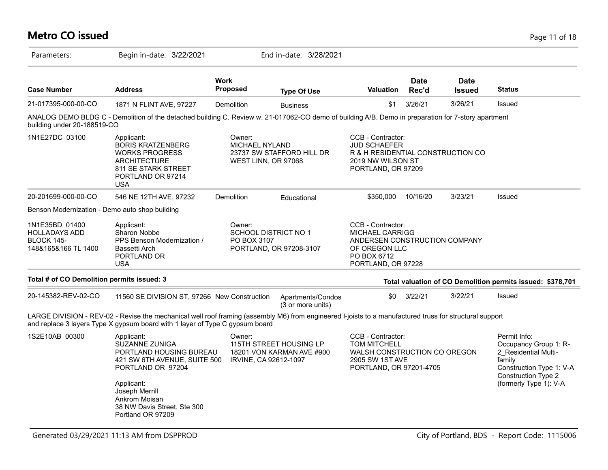| <b>Metro CO issued</b>                                                             |                                                                                                                                                                                                                                         |                                                        |                                                        |                                                                                                                                    |                      |                              | Page 11 of 18                                                                                                                                        |
|------------------------------------------------------------------------------------|-----------------------------------------------------------------------------------------------------------------------------------------------------------------------------------------------------------------------------------------|--------------------------------------------------------|--------------------------------------------------------|------------------------------------------------------------------------------------------------------------------------------------|----------------------|------------------------------|------------------------------------------------------------------------------------------------------------------------------------------------------|
| Parameters:                                                                        | Begin in-date: 3/22/2021                                                                                                                                                                                                                |                                                        | End in-date: 3/28/2021                                 |                                                                                                                                    |                      |                              |                                                                                                                                                      |
| <b>Case Number</b>                                                                 | <b>Address</b>                                                                                                                                                                                                                          | <b>Work</b><br><b>Proposed</b>                         | <b>Type Of Use</b>                                     | <b>Valuation</b>                                                                                                                   | <b>Date</b><br>Rec'd | <b>Date</b><br><b>Issued</b> | <b>Status</b>                                                                                                                                        |
| 21-017395-000-00-CO                                                                | 1871 N FLINT AVE, 97227                                                                                                                                                                                                                 | Demolition                                             | <b>Business</b>                                        | \$1                                                                                                                                | 3/26/21              | 3/26/21                      | Issued                                                                                                                                               |
| building under 20-188519-CO                                                        | ANALOG DEMO BLDG C - Demolition of the detached building C. Review w. 21-017062-CO demo of building A/B. Demo in preparation for 7-story apartment                                                                                      |                                                        |                                                        |                                                                                                                                    |                      |                              |                                                                                                                                                      |
| 1N1E27DC 03100                                                                     | Applicant:<br><b>BORIS KRATZENBERG</b><br><b>WORKS PROGRESS</b><br><b>ARCHITECTURE</b><br>811 SE STARK STREET<br>PORTLAND OR 97214<br><b>USA</b>                                                                                        | Owner:<br><b>MICHAEL NYLAND</b><br>WEST LINN, OR 97068 | 23737 SW STAFFORD HILL DR                              | CCB - Contractor:<br><b>JUD SCHAEFER</b><br>R & H RESIDENTIAL CONSTRUCTION CO<br>2019 NW WILSON ST<br>PORTLAND, OR 97209           |                      |                              |                                                                                                                                                      |
| 20-201699-000-00-CO                                                                | 546 NE 12TH AVE, 97232                                                                                                                                                                                                                  | <b>Demolition</b>                                      | Educational                                            | \$350,000                                                                                                                          | 10/16/20             | 3/23/21                      | <b>Issued</b>                                                                                                                                        |
| Benson Modernization - Demo auto shop building                                     |                                                                                                                                                                                                                                         |                                                        |                                                        |                                                                                                                                    |                      |                              |                                                                                                                                                      |
| 1N1E35BD 01400<br><b>HOLLADAYS ADD</b><br><b>BLOCK 145-</b><br>148&165&166 TL 1400 | Applicant:<br>Sharon Nobbe<br>PPS Benson Modernization /<br>Bassetti Arch<br>PORTLAND OR<br>USA                                                                                                                                         | Owner:<br>PO BOX 3107                                  | <b>SCHOOL DISTRICT NO 1</b><br>PORTLAND, OR 97208-3107 | CCB - Contractor:<br><b>MICHAEL CARRIGG</b><br>ANDERSEN CONSTRUCTION COMPANY<br>OF OREGON LLC<br>PO BOX 6712<br>PORTLAND, OR 97228 |                      |                              |                                                                                                                                                      |
| Total # of CO Demolition permits issued: 3                                         |                                                                                                                                                                                                                                         |                                                        |                                                        |                                                                                                                                    |                      |                              | Total valuation of CO Demolition permits issued: \$378,701                                                                                           |
| 20-145382-REV-02-CO                                                                | 11560 SE DIVISION ST, 97266 New Construction                                                                                                                                                                                            |                                                        | Apartments/Condos<br>(3 or more units)                 | \$0                                                                                                                                | 3/22/21              | 3/22/21                      | Issued                                                                                                                                               |
|                                                                                    | LARGE DIVISION - REV-02 - Revise the mechanical well roof framing (assembly M6) from engineered I-joists to a manufactured truss for structural support<br>and replace 3 layers Type X gypsum board with 1 layer of Type C gypsum board |                                                        |                                                        |                                                                                                                                    |                      |                              |                                                                                                                                                      |
| 1S2E10AB 00300                                                                     | Applicant:<br><b>SUZANNE ZUNIGA</b><br>PORTLAND HOUSING BUREAU<br>421 SW 6TH AVENUE, SUITE 500<br>PORTLAND OR 97204<br>Applicant:<br>Joseph Merrill<br>Ankrom Moisan<br>38 NW Davis Street, Ste 300<br>Portland OR 97209                | Owner:<br>IRVINE, CA 92612-1097                        | 115TH STREET HOUSING LP<br>18201 VON KARMAN AVE #900   | CCB - Contractor:<br><b>TOM MITCHELL</b><br>WALSH CONSTRUCTION CO OREGON<br>2905 SW 1ST AVE<br>PORTLAND, OR 97201-4705             |                      |                              | Permit Info:<br>Occupancy Group 1: R-<br>2_Residential Multi-<br>family<br>Construction Type 1: V-A<br>Construction Type 2<br>(formerly Type 1): V-A |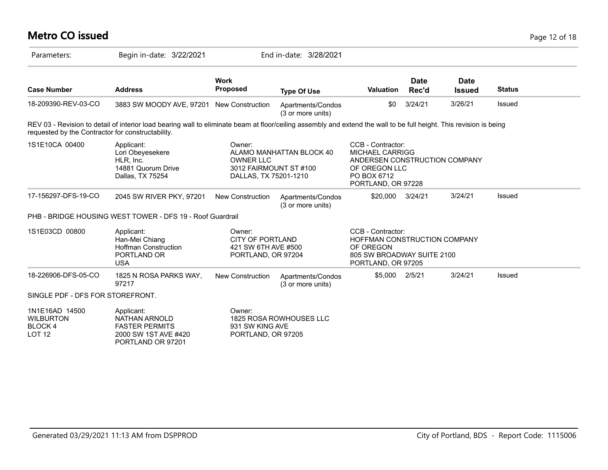| <b>Metro CO issued</b>                                         |                                                                                                                                                                     |                                                                                |                                        |                                                                                                                             |                      |                              |               | Page 12 of 18 |
|----------------------------------------------------------------|---------------------------------------------------------------------------------------------------------------------------------------------------------------------|--------------------------------------------------------------------------------|----------------------------------------|-----------------------------------------------------------------------------------------------------------------------------|----------------------|------------------------------|---------------|---------------|
| Parameters:                                                    | Begin in-date: 3/22/2021                                                                                                                                            |                                                                                | End in-date: 3/28/2021                 |                                                                                                                             |                      |                              |               |               |
| <b>Case Number</b>                                             | <b>Address</b>                                                                                                                                                      | <b>Work</b><br><b>Proposed</b>                                                 | <b>Type Of Use</b>                     | <b>Valuation</b>                                                                                                            | <b>Date</b><br>Rec'd | <b>Date</b><br><b>Issued</b> | <b>Status</b> |               |
| 18-209390-REV-03-CO                                            | 3883 SW MOODY AVE, 97201 New Construction                                                                                                                           |                                                                                | Apartments/Condos<br>(3 or more units) | \$0                                                                                                                         | 3/24/21              | 3/26/21                      | Issued        |               |
| requested by the Contractor for constructability.              | REV 03 - Revision to detail of interior load bearing wall to eliminate beam at floor/ceiling assembly and extend the wall to be full height. This revision is being |                                                                                |                                        |                                                                                                                             |                      |                              |               |               |
| 1S1E10CA 00400                                                 | Applicant:<br>Lori Obeyesekere<br>HLR, Inc.<br>14881 Quorum Drive<br>Dallas, TX 75254                                                                               | Owner:<br><b>OWNER LLC</b><br>3012 FAIRMOUNT ST #100<br>DALLAS, TX 75201-1210  | ALAMO MANHATTAN BLOCK 40               | CCB - Contractor:<br>MICHAEL CARRIGG<br>ANDERSEN CONSTRUCTION COMPANY<br>OF OREGON LLC<br>PO BOX 6712<br>PORTLAND, OR 97228 |                      |                              |               |               |
| 17-156297-DFS-19-CO                                            | 2045 SW RIVER PKY, 97201                                                                                                                                            | New Construction                                                               | Apartments/Condos<br>(3 or more units) | \$20,000                                                                                                                    | 3/24/21              | 3/24/21                      | Issued        |               |
|                                                                | PHB - BRIDGE HOUSING WEST TOWER - DFS 19 - Roof Guardrail                                                                                                           |                                                                                |                                        |                                                                                                                             |                      |                              |               |               |
| 1S1E03CD 00800                                                 | Applicant:<br>Han-Mei Chiang<br><b>Hoffman Construction</b><br>PORTLAND OR<br><b>USA</b>                                                                            | Owner:<br><b>CITY OF PORTLAND</b><br>421 SW 6TH AVE #500<br>PORTLAND, OR 97204 |                                        | CCB - Contractor:<br>HOFFMAN CONSTRUCTION COMPANY<br>OF OREGON<br>805 SW BROADWAY SUITE 2100<br>PORTLAND, OR 97205          |                      |                              |               |               |
| 18-226906-DFS-05-CO                                            | 1825 N ROSA PARKS WAY,<br>97217                                                                                                                                     | New Construction                                                               | Apartments/Condos<br>(3 or more units) | \$5,000 2/5/21                                                                                                              |                      | 3/24/21                      | Issued        |               |
| SINGLE PDF - DFS FOR STOREFRONT.                               |                                                                                                                                                                     |                                                                                |                                        |                                                                                                                             |                      |                              |               |               |
| 1N1E16AD 14500<br><b>WILBURTON</b><br>BLOCK 4<br><b>LOT 12</b> | Applicant:<br>NATHAN ARNOLD<br><b>FASTER PERMITS</b><br>2000 SW 1ST AVE #420<br>PORTLAND OR 97201                                                                   | Owner:<br>931 SW KING AVE<br>PORTLAND, OR 97205                                | 1825 ROSA ROWHOUSES LLC                |                                                                                                                             |                      |                              |               |               |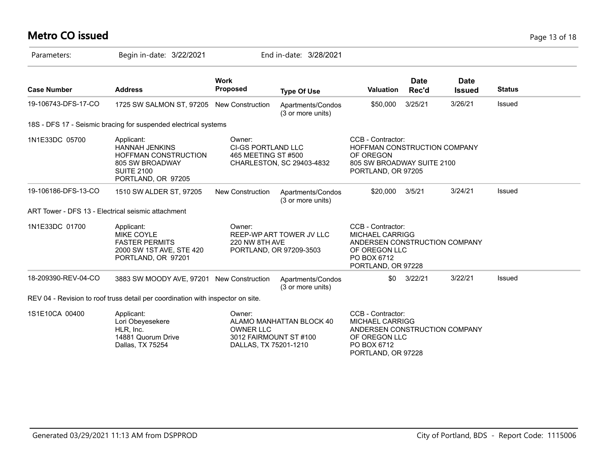# **Metro CO issued** Page 13 of 18

| Parameters:         | Begin in-date: 3/22/2021                                                                                                  |                                                                               | End in-date: 3/28/2021                              |                                                                                                                                    |                      |                              |               |
|---------------------|---------------------------------------------------------------------------------------------------------------------------|-------------------------------------------------------------------------------|-----------------------------------------------------|------------------------------------------------------------------------------------------------------------------------------------|----------------------|------------------------------|---------------|
| <b>Case Number</b>  | <b>Address</b>                                                                                                            | <b>Work</b><br><b>Proposed</b>                                                | <b>Type Of Use</b>                                  | <b>Valuation</b>                                                                                                                   | <b>Date</b><br>Rec'd | <b>Date</b><br><b>Issued</b> | <b>Status</b> |
| 19-106743-DFS-17-CO | 1725 SW SALMON ST, 97205 New Construction                                                                                 |                                                                               | Apartments/Condos<br>(3 or more units)              | \$50,000                                                                                                                           | 3/25/21              | 3/26/21                      | Issued        |
|                     | 18S - DFS 17 - Seismic bracing for suspended electrical systems                                                           |                                                                               |                                                     |                                                                                                                                    |                      |                              |               |
| 1N1E33DC 05700      | Applicant:<br><b>HANNAH JENKINS</b><br>HOFFMAN CONSTRUCTION<br>805 SW BROADWAY<br><b>SUITE 2100</b><br>PORTLAND, OR 97205 | Owner:<br>CI-GS PORTLAND LLC<br>465 MEETING ST #500                           | CHARLESTON, SC 29403-4832                           | CCB - Contractor:<br>HOFFMAN CONSTRUCTION COMPANY<br>OF OREGON<br>805 SW BROADWAY SUITE 2100<br>PORTLAND, OR 97205                 |                      |                              |               |
| 19-106186-DFS-13-CO | 1510 SW ALDER ST, 97205                                                                                                   | <b>New Construction</b>                                                       | Apartments/Condos<br>(3 or more units)              | \$20,000                                                                                                                           | 3/5/21               | 3/24/21                      | Issued        |
|                     | ART Tower - DFS 13 - Electrical seismic attachment                                                                        |                                                                               |                                                     |                                                                                                                                    |                      |                              |               |
| 1N1E33DC 01700      | Applicant:<br><b>MIKE COYLE</b><br><b>FASTER PERMITS</b><br>2000 SW 1ST AVE, STE 420<br>PORTLAND, OR 97201                | Owner:<br>220 NW 8TH AVE                                                      | REEP-WP ART TOWER JV LLC<br>PORTLAND, OR 97209-3503 | CCB - Contractor:<br><b>MICHAEL CARRIGG</b><br>ANDERSEN CONSTRUCTION COMPANY<br>OF OREGON LLC<br>PO BOX 6712<br>PORTLAND, OR 97228 |                      |                              |               |
| 18-209390-REV-04-CO | 3883 SW MOODY AVE, 97201 New Construction                                                                                 |                                                                               | Apartments/Condos<br>(3 or more units)              | \$0                                                                                                                                | 3/22/21              | 3/22/21                      | Issued        |
|                     | REV 04 - Revision to roof truss detail per coordination with inspector on site.                                           |                                                                               |                                                     |                                                                                                                                    |                      |                              |               |
| 1S1E10CA 00400      | Applicant:<br>Lori Obeyesekere<br>HLR, Inc.<br>14881 Quorum Drive<br>Dallas, TX 75254                                     | Owner:<br><b>OWNER LLC</b><br>3012 FAIRMOUNT ST #100<br>DALLAS, TX 75201-1210 | ALAMO MANHATTAN BLOCK 40                            | CCB - Contractor:<br><b>MICHAEL CARRIGG</b><br>ANDERSEN CONSTRUCTION COMPANY<br>OF OREGON LLC<br>PO BOX 6712<br>PORTLAND, OR 97228 |                      |                              |               |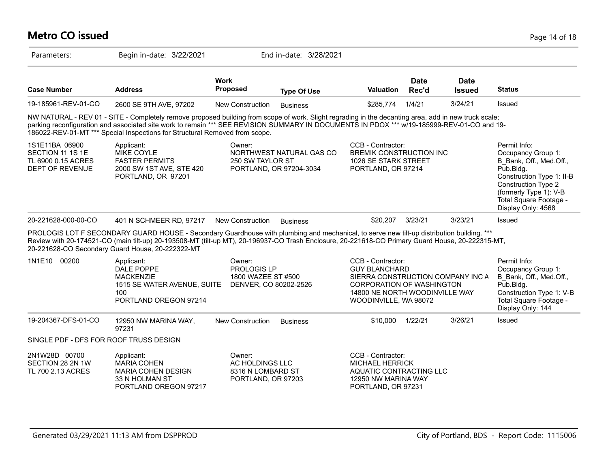#### **Metro CO issued** Page 14 of 18 Parameters: Begin in-date: 3/22/2021 End in-date: 3/28/2021 **Work Case Number Address Proposed Type Of Use Valuation Status Date Rec'd Date Issued** 19-185961-REV-01-CO 2600 SE 9TH AVE, 97202 New Construction Business \$285,774 1/4/21 3/24/21 Issued NW NATURAL - REV 01 - SITE - Completely remove proposed building from scope of work. Slight regrading in the decanting area, add in new truck scale; parking reconfiguration and associated site work to remain \*\*\* SEE REVISION SUMMARY IN DOCUMENTS IN PDOX \*\*\* w/19-185999-REV-01-CO and 19-186022-REV-01-MT \*\*\* Special Inspections for Structural Removed from scope. 1S1E11BA 06900 SECTION 11 1S 1E TL 6900 0.15 ACRES DEPT OF REVENUE Permit Info: Occupancy Group 1: B\_Bank, Off., Med.Off., Pub.Bldg. Construction Type 1: II-B Construction Type 2 (formerly Type 1): V-B Total Square Footage - Display Only: 4568 CCB - Contractor: BREMIK CONSTRUCTION INC 1026 SE STARK STREET PORTLAND, OR 97214 Owner: NORTHWEST NATURAL GAS CO 250 SW TAYLOR ST PORTLAND, OR 97204-3034 Applicant: MIKE COYLE FASTER PERMITS 2000 SW 1ST AVE, STE 420 PORTLAND, OR 97201 20-221628-000-00-CO 401 N SCHMEER RD, 97217 New Construction Business \$20,207 3/23/21 3/23/21 Issued PROLOGIS LOT F SECONDARY GUARD HOUSE - Secondary Guardhouse with plumbing and mechanical, to serve new tilt-up distribution building. \*\*\* Review with 20-174521-CO (main tilt-up) 20-193508-MT (tilt-up MT), 20-196937-CO Trash Enclosure, 20-221618-CO Primary Guard House, 20-222315-MT, 20-221628-CO Secondary Guard House, 20-222322-MT 1N1E10 00200 Applicant: Applicant: Owner: CCB - Contractor: Permit Info: Occupancy Group 1: B\_Bank, Off., Med.Off., Pub.Bldg. Construction Type 1: V-B Total Square Footage - Display Only: 144 CCB - Contractor: GUY BLANCHARD SIERRA CONSTRUCTION COMPANY INC A CORPORATION OF WASHINGTON 14800 NE NORTH WOODINVILLE WAY WOODINVILLE, WA 98072 Owner: PROLOGIS LP 1800 WAZEE ST #500 1515 SE WATER AVENUE, SUITE DENVER, CO 80202-2526 Applicant: DALE POPPE MACKENZIE 100 PORTLAND OREGON 97214 19-204367-DFS-01-CO 12950 NW MARINA WAY, 97231 New Construction Business **\$10,000** 1/22/21 3/26/21 Issued SINGLE PDF - DFS FOR ROOF TRUSS DESIGN 2N1W28D 00700 SECTION 28 2N 1W TL 700 2.13 ACRES CCB - Contractor: MICHAEL HERRICK AQUATIC CONTRACTING LLC 12950 NW MARINA WAY PORTLAND, OR 97231 Owner: AC HOLDINGS LLC 8316 N LOMBARD ST PORTLAND, OR 97203 Applicant: MARIA COHEN MARIA COHEN DESIGN 33 N HOLMAN ST PORTLAND OREGON 97217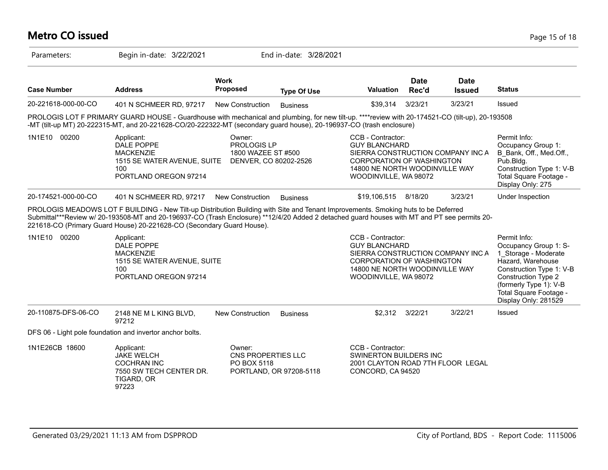## **Metro CO issued** Page 15 of 18

| Parameters:         | Begin in-date: 3/22/2021                                                                                                                                                                                                                                                                                                                                    |                                                                        | End in-date: 3/28/2021 |                                                                                                                                                                        |                      |                              |                                                                                                                                                                                                                          |
|---------------------|-------------------------------------------------------------------------------------------------------------------------------------------------------------------------------------------------------------------------------------------------------------------------------------------------------------------------------------------------------------|------------------------------------------------------------------------|------------------------|------------------------------------------------------------------------------------------------------------------------------------------------------------------------|----------------------|------------------------------|--------------------------------------------------------------------------------------------------------------------------------------------------------------------------------------------------------------------------|
| <b>Case Number</b>  | <b>Address</b>                                                                                                                                                                                                                                                                                                                                              | <b>Work</b><br>Proposed                                                | <b>Type Of Use</b>     | Valuation                                                                                                                                                              | <b>Date</b><br>Rec'd | <b>Date</b><br><b>Issued</b> | <b>Status</b>                                                                                                                                                                                                            |
| 20-221618-000-00-CO | 401 N SCHMEER RD, 97217                                                                                                                                                                                                                                                                                                                                     | New Construction                                                       | <b>Business</b>        | \$39,314                                                                                                                                                               | 3/23/21              | 3/23/21                      | <b>Issued</b>                                                                                                                                                                                                            |
|                     | PROLOGIS LOT F PRIMARY GUARD HOUSE - Guardhouse with mechanical and plumbing, for new tilt-up. ****review with 20-174521-CO (tilt-up), 20-193508<br>-MT (tilt-up MT) 20-222315-MT, and 20-221628-CO/20-222322-MT (secondary guard house), 20-196937-CO (trash enclosure)                                                                                    |                                                                        |                        |                                                                                                                                                                        |                      |                              |                                                                                                                                                                                                                          |
| 1N1E10 00200        | Applicant:<br>DALE POPPE<br><b>MACKENZIE</b><br>1515 SE WATER AVENUE, SUITE<br>100<br>PORTLAND OREGON 97214                                                                                                                                                                                                                                                 | Owner:<br>PROLOGIS LP<br>1800 WAZEE ST #500<br>DENVER, CO 80202-2526   |                        | CCB - Contractor:<br><b>GUY BLANCHARD</b><br>SIERRA CONSTRUCTION COMPANY INC A<br>CORPORATION OF WASHINGTON<br>14800 NE NORTH WOODINVILLE WAY<br>WOODINVILLE, WA 98072 |                      |                              | Permit Info:<br>Occupancy Group 1:<br>B Bank, Off., Med.Off.,<br>Pub.Bldg.<br>Construction Type 1: V-B<br>Total Square Footage -<br>Display Only: 275                                                                    |
| 20-174521-000-00-CO | 401 N SCHMEER RD, 97217                                                                                                                                                                                                                                                                                                                                     | <b>New Construction</b>                                                | <b>Business</b>        | \$19,106,515                                                                                                                                                           | 8/18/20              | 3/23/21                      | Under Inspection                                                                                                                                                                                                         |
|                     | PROLOGIS MEADOWS LOT F BUILDING - New Tilt-up Distribution Building with Site and Tenant Improvements. Smoking huts to be Deferred<br>Submittal***Review w/ 20-193508-MT and 20-196937-CO (Trash Enclosure) **12/4/20 Added 2 detached guard houses with MT and PT see permits 20-<br>221618-CO (Primary Guard House) 20-221628-CO (Secondary Guard House). |                                                                        |                        |                                                                                                                                                                        |                      |                              |                                                                                                                                                                                                                          |
| 1N1E10 00200        | Applicant:<br>DALE POPPE<br><b>MACKENZIE</b><br>1515 SE WATER AVENUE, SUITE<br>100<br>PORTLAND OREGON 97214                                                                                                                                                                                                                                                 |                                                                        |                        | CCB - Contractor:<br><b>GUY BLANCHARD</b><br>SIERRA CONSTRUCTION COMPANY INC A<br>CORPORATION OF WASHINGTON<br>14800 NE NORTH WOODINVILLE WAY<br>WOODINVILLE, WA 98072 |                      |                              | Permit Info:<br>Occupancy Group 1: S-<br>1 Storage - Moderate<br>Hazard, Warehouse<br>Construction Type 1: V-B<br><b>Construction Type 2</b><br>(formerly Type 1): V-B<br>Total Square Footage -<br>Display Only: 281529 |
| 20-110875-DFS-06-CO | 2148 NE M L KING BLVD,<br>97212                                                                                                                                                                                                                                                                                                                             | <b>New Construction</b>                                                | <b>Business</b>        | \$2,312 3/22/21                                                                                                                                                        |                      | 3/22/21                      | Issued                                                                                                                                                                                                                   |
|                     | DFS 06 - Light pole foundation and invertor anchor bolts.                                                                                                                                                                                                                                                                                                   |                                                                        |                        |                                                                                                                                                                        |                      |                              |                                                                                                                                                                                                                          |
| 1N1E26CB 18600      | Applicant:<br><b>JAKE WELCH</b><br><b>COCHRAN INC</b><br>7550 SW TECH CENTER DR.<br>TIGARD, OR<br>97223                                                                                                                                                                                                                                                     | Owner:<br>CNS PROPERTIES LLC<br>PO BOX 5118<br>PORTLAND, OR 97208-5118 |                        | CCB - Contractor:<br><b>SWINERTON BUILDERS INC</b><br>2001 CLAYTON ROAD 7TH FLOOR LEGAL<br>CONCORD, CA 94520                                                           |                      |                              |                                                                                                                                                                                                                          |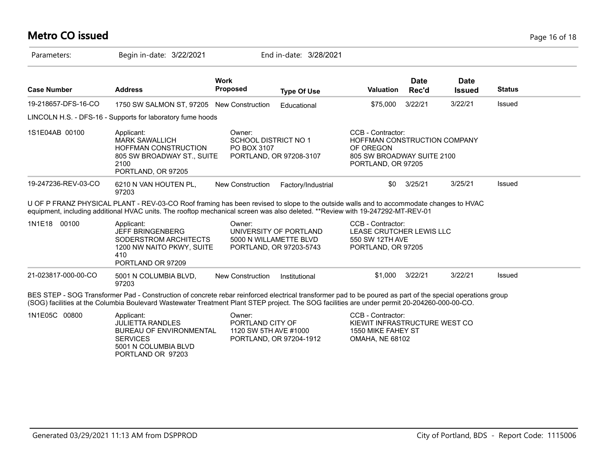## **Metro CO issued** Page 16 of 18

| Parameters:         | Begin in-date: 3/22/2021                                                                                                                                                                                                                                                                                   |                                                                                       | End in-date: 3/28/2021                                                                 |                                                                                                                    |                      |                              |               |
|---------------------|------------------------------------------------------------------------------------------------------------------------------------------------------------------------------------------------------------------------------------------------------------------------------------------------------------|---------------------------------------------------------------------------------------|----------------------------------------------------------------------------------------|--------------------------------------------------------------------------------------------------------------------|----------------------|------------------------------|---------------|
| <b>Case Number</b>  | <b>Address</b>                                                                                                                                                                                                                                                                                             | <b>Work</b><br><b>Proposed</b>                                                        | <b>Type Of Use</b>                                                                     | <b>Valuation</b>                                                                                                   | <b>Date</b><br>Rec'd | <b>Date</b><br><b>Issued</b> | <b>Status</b> |
| 19-218657-DFS-16-CO | 1750 SW SALMON ST, 97205 New Construction                                                                                                                                                                                                                                                                  |                                                                                       | Educational                                                                            | \$75,000                                                                                                           | 3/22/21              | 3/22/21                      | Issued        |
|                     | LINCOLN H.S. - DFS-16 - Supports for laboratory fume hoods                                                                                                                                                                                                                                                 |                                                                                       |                                                                                        |                                                                                                                    |                      |                              |               |
| 1S1E04AB 00100      | Applicant:<br><b>MARK SAWALLICH</b><br><b>HOFFMAN CONSTRUCTION</b><br>805 SW BROADWAY ST., SUITE<br>2100<br>PORTLAND, OR 97205                                                                                                                                                                             | Owner:<br>SCHOOL DISTRICT NO 1<br>PO BOX 3107<br>PORTLAND, OR 97208-3107              |                                                                                        | CCB - Contractor:<br>HOFFMAN CONSTRUCTION COMPANY<br>OF OREGON<br>805 SW BROADWAY SUITE 2100<br>PORTLAND, OR 97205 |                      |                              |               |
| 19-247236-REV-03-CO | 6210 N VAN HOUTEN PL.<br>97203                                                                                                                                                                                                                                                                             | <b>New Construction</b>                                                               | Factory/Industrial                                                                     | \$0                                                                                                                | 3/25/21              | 3/25/21                      | Issued        |
|                     | U OF P FRANZ PHYSICAL PLANT - REV-03-CO Roof framing has been revised to slope to the outside walls and to accommodate changes to HVAC<br>equipment, including additional HVAC units. The rooftop mechanical screen was also deleted. **Review with 19-247292-MT-REV-01                                    |                                                                                       |                                                                                        |                                                                                                                    |                      |                              |               |
| 1N1E18 00100        | Applicant:<br><b>JEFF BRINGENBERG</b><br>SODERSTROM ARCHITECTS<br>1200 NW NAITO PKWY, SUITE<br>410<br>PORTLAND OR 97209                                                                                                                                                                                    | Owner:<br>UNIVERSITY OF PORTLAND<br>5000 N WILLAMETTE BLVD<br>PORTLAND, OR 97203-5743 | CCB - Contractor:<br>LEASE CRUTCHER LEWIS LLC<br>550 SW 12TH AVE<br>PORTLAND, OR 97205 |                                                                                                                    |                      |                              |               |
| 21-023817-000-00-CO | 5001 N COLUMBIA BLVD,<br>97203                                                                                                                                                                                                                                                                             | <b>New Construction</b>                                                               | Institutional                                                                          |                                                                                                                    | \$1,000 3/22/21      | 3/22/21                      | Issued        |
|                     | BES STEP - SOG Transformer Pad - Construction of concrete rebar reinforced electrical transformer pad to be poured as part of the special operations group<br>(SOG) facilities at the Columbia Boulevard Wastewater Treatment Plant STEP project. The SOG facilities are under permit 20-204260-000-00-CO. |                                                                                       |                                                                                        |                                                                                                                    |                      |                              |               |
| 1N1E05C 00800       | Applicant:<br><b>JULIETTA RANDLES</b><br>BUREAU OF ENVIRONMENTAL<br><b>SERVICES</b><br>5001 N COLUMBIA BLVD<br>PORTLAND OR 97203                                                                                                                                                                           | Owner:<br>PORTLAND CITY OF<br>1120 SW 5TH AVE #1000                                   | PORTLAND, OR 97204-1912                                                                | CCB - Contractor:<br>KIEWIT INFRASTRUCTURE WEST CO<br>1550 MIKE FAHEY ST<br><b>OMAHA, NE 68102</b>                 |                      |                              |               |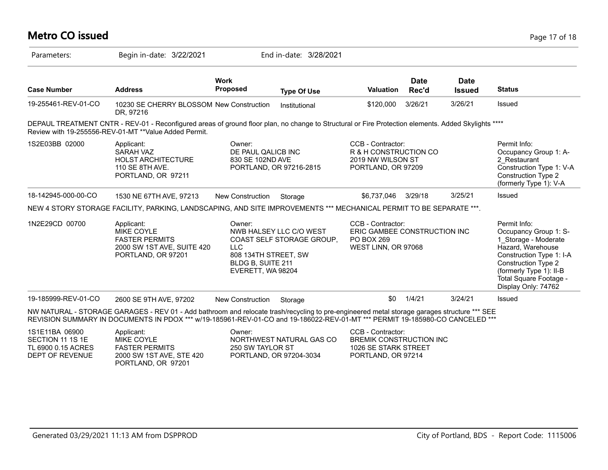#### **Metro CO issued** Page 17 of 18 Parameters: Begin in-date: 3/22/2021 End in-date: 3/28/2021 **Work Case Number Address Proposed Type Of Use Valuation Status Date Rec'd Date Issued** 19-255461-REV-01-CO 10230 SE CHERRY BLOSSOM New Construction Institutional \$120,000 3/26/21 3/26/21 Issued DR, 97216 DEPAUL TREATMENT CNTR - REV-01 - Reconfigured areas of ground floor plan, no change to Structural or Fire Protection elements. Added Skylights \*\*\*\* Review with 19-255556-REV-01-MT \*\*Value Added Permit. 1S2E03BB 02000 Permit Info: Occupancy Group 1: A-2\_Restaurant Construction Type 1: V-A Construction Type 2 (formerly Type 1): V-A CCB - Contractor: R & H CONSTRUCTION CO 2019 NW WILSON ST PORTLAND, OR 97209 Owner: DE PAUL QALICB INC 830 SE 102ND AVE PORTLAND, OR 97216-2815 Applicant: SARAH VAZ HOLST ARCHITECTURE 110 SE 8TH AVE. PORTLAND, OR 97211 18-142945-000-00-CO 1530 NE 67TH AVE, 97213 New Construction Storage \$6,737,046 3/29/18 3/25/21 Issued NEW 4 STORY STORAGE FACILITY, PARKING, LANDSCAPING, AND SITE IMPROVEMENTS \*\*\* MECHANICAL PERMIT TO BE SEPARATE \*\*\*. 1N2E29CD 00700 Applicant: A CONDITE: CCB - Contractor: Permit Info: Occupancy Group 1: S-1\_Storage - Moderate Hazard, Warehouse Construction Type 1: I-A Construction Type 2 (formerly Type 1): II-B Total Square Footage - Display Only: 74762 CCB - Contractor: ERIC GAMBEE CONSTRUCTION INC PO BOX 269 WEST LINN, OR 97068 Owner: NWB HALSEY LLC C/O WEST COAST SELF STORAGE GROUP, LLC 808 134TH STREET, SW BLDG B, SUITE 211 EVERETT, WA 98204 Applicant: MIKE COYLE FASTER PERMITS 2000 SW 1ST AVE, SUITE 420 PORTLAND, OR 97201 19-185999-REV-01-CO 2600 SE 9TH AVE, 97202 New Construction Storage 50 \$0 1/4/21 3/24/21 Issued NW NATURAL - STORAGE GARAGES - REV 01 - Add bathroom and relocate trash/recycling to pre-engineered metal storage garages structure \*\*\* SEE REVISION SUMMARY IN DOCUMENTS IN PDOX \*\*\* w/19-185961-REV-01-CO and 19-186022-REV-01-MT \*\*\* PERMIT 19-185980-CO CANCELED \*\*\* 1S1E11BA 06900 SECTION 11 1S 1E TL 6900 0.15 ACRES CCB - Contractor: BREMIK CONSTRUCTION INC 1026 SE STARK STREET Owner: NORTHWEST NATURAL GAS CO 250 SW TAYLOR ST Applicant: MIKE COYLE FASTER PERMITS

PORTLAND, OR 97204-3034

PORTLAND, OR 97214

2000 SW 1ST AVE, STE 420 PORTLAND, OR 97201

DEPT OF REVENUE